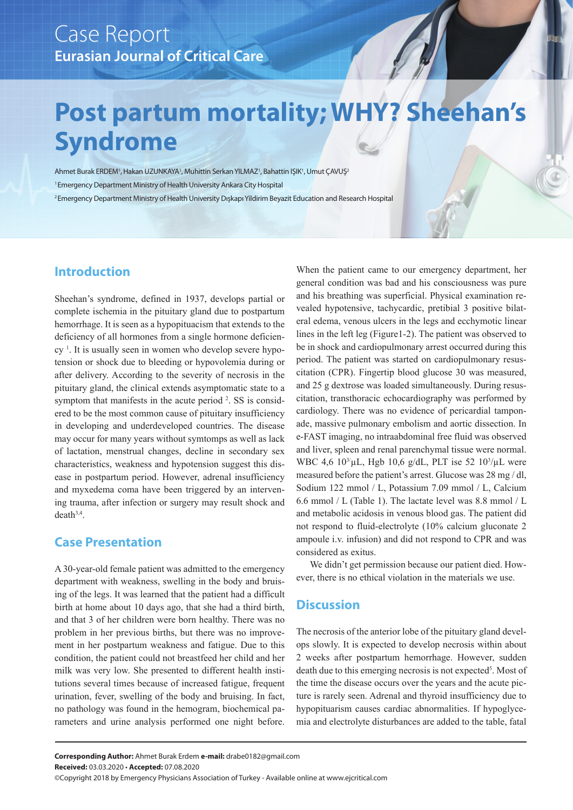# **Post partum mortality; WHY? Sheehan's Syndrome**

Ahmet Burak ERDEM', Hakan UZUNKAYA', Muhittin Serkan YILMAZ', Bahattin IŞIK', Umut ÇAVUŞ<sup>z</sup> 1 Emergency Department Ministry of Health University Ankara City Hospital 2 Emergency Department Ministry of Health University Dışkapı Yildirim Beyazit Education and Research Hospital

## **Introduction**

Sheehan's syndrome, defined in 1937, develops partial or complete ischemia in the pituitary gland due to postpartum hemorrhage. It is seen as a hypopituacism that extends to the deficiency of all hormones from a single hormone deficiency 1 . It is usually seen in women who develop severe hypotension or shock due to bleeding or hypovolemia during or after delivery. According to the severity of necrosis in the pituitary gland, the clinical extends asymptomatic state to a symptom that manifests in the acute period <sup>2</sup>. SS is considered to be the most common cause of pituitary insufficiency in developing and underdeveloped countries. The disease may occur for many years without symtomps as well as lack of lactation, menstrual changes, decline in secondary sex characteristics, weakness and hypotension suggest this disease in postpartum period. However, adrenal insufficiency and myxedema coma have been triggered by an intervening trauma, after infection or surgery may result shock and  $death^{3,4}$ .

### **Case Presentation**

A 30-year-old female patient was admitted to the emergency department with weakness, swelling in the body and bruising of the legs. It was learned that the patient had a difficult birth at home about 10 days ago, that she had a third birth, and that 3 of her children were born healthy. There was no problem in her previous births, but there was no improvement in her postpartum weakness and fatigue. Due to this condition, the patient could not breastfeed her child and her milk was very low. She presented to different health institutions several times because of increased fatigue, frequent urination, fever, swelling of the body and bruising. In fact, no pathology was found in the hemogram, biochemical parameters and urine analysis performed one night before.

When the patient came to our emergency department, her general condition was bad and his consciousness was pure and his breathing was superficial. Physical examination revealed hypotensive, tachycardic, pretibial 3 positive bilateral edema, venous ulcers in the legs and ecchymotic linear lines in the left leg (Figure1-2). The patient was observed to be in shock and cardiopulmonary arrest occurred during this period. The patient was started on cardiopulmonary resuscitation (CPR). Fingertip blood glucose 30 was measured, and 25 g dextrose was loaded simultaneously. During resuscitation, transthoracic echocardiography was performed by cardiology. There was no evidence of pericardial tamponade, massive pulmonary embolism and aortic dissection. In e-FAST imaging, no intraabdominal free fluid was observed and liver, spleen and renal parenchymal tissue were normal. WBC 4,6  $10^{3}/\mu$ L, Hgb 10,6 g/dL, PLT ise 52  $10^{3}/\mu$ L were measured before the patient's arrest. Glucose was 28 mg / dl, Sodium 122 mmol / L, Potassium 7.09 mmol / L, Calcium 6.6 mmol / L (Table 1). The lactate level was 8.8 mmol / L and metabolic acidosis in venous blood gas. The patient did not respond to fluid-electrolyte (10% calcium gluconate 2 ampoule i.v. infusion) and did not respond to CPR and was considered as exitus.

We didn't get permission because our patient died. However, there is no ethical violation in the materials we use.

### **Discussion**

The necrosis of the anterior lobe of the pituitary gland develops slowly. It is expected to develop necrosis within about 2 weeks after postpartum hemorrhage. However, sudden death due to this emerging necrosis is not expected<sup>5</sup>. Most of the time the disease occurs over the years and the acute picture is rarely seen. Adrenal and thyroid insufficiency due to hypopituarism causes cardiac abnormalities. If hypoglycemia and electrolyte disturbances are added to the table, fatal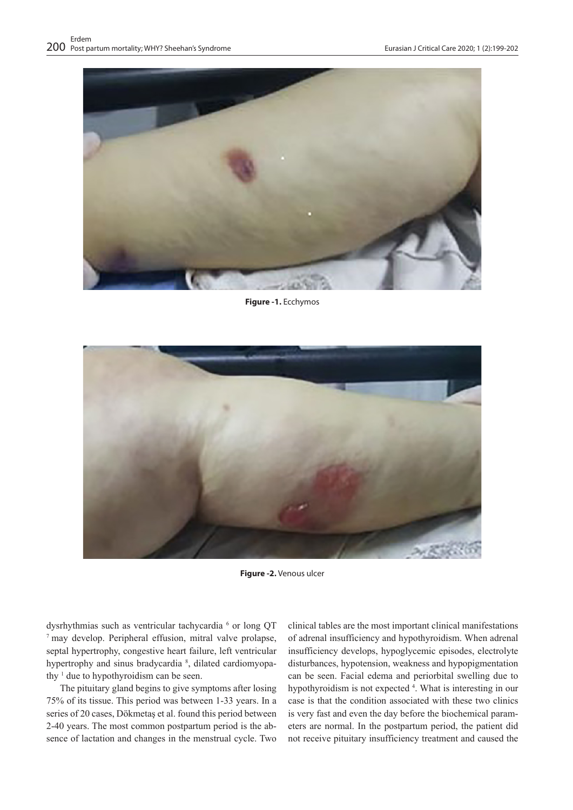

**Figure -1.** Ecchymos



**Figure -2.** Venous ulcer

dysrhythmias such as ventricular tachycardia  $6$  or long QT  $\sigma$  may develop. Peripheral effusion, mitral valve prolapse, septal hypertrophy, congestive heart failure, left ventricular hypertrophy and sinus bradycardia<sup>8</sup>, dilated cardiomyopathy  $\frac{1}{1}$  due to hypothyroidism can be seen.

The pituitary gland begins to give symptoms after losing 75% of its tissue. This period was between 1-33 years. In a series of 20 cases, Dökmetaş et al. found this period between 2-40 years. The most common postpartum period is the absence of lactation and changes in the menstrual cycle. Two

clinical tables are the most important clinical manifestations of adrenal insufficiency and hypothyroidism. When adrenal insufficiency develops, hypoglycemic episodes, electrolyte disturbances, hypotension, weakness and hypopigmentation can be seen. Facial edema and periorbital swelling due to hypothyroidism is not expected <sup>4</sup>. What is interesting in our case is that the condition associated with these two clinics is very fast and even the day before the biochemical parameters are normal. In the postpartum period, the patient did not receive pituitary insufficiency treatment and caused the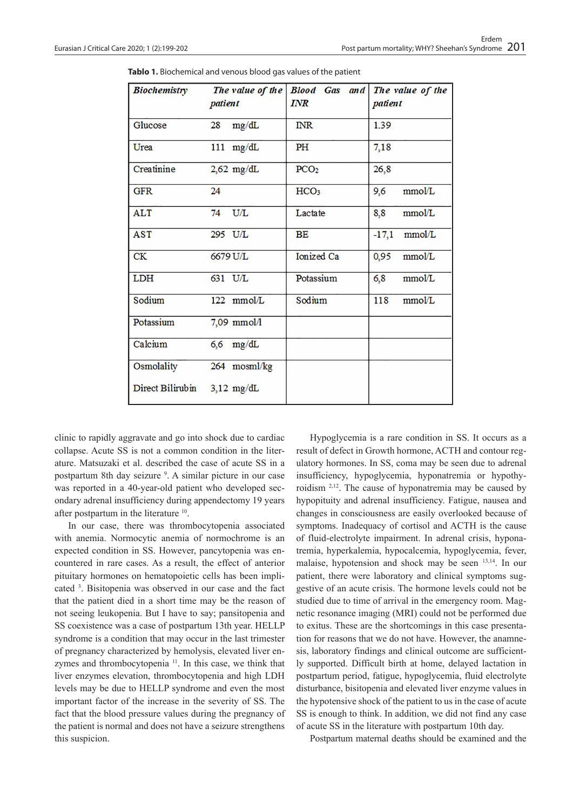| <b>Biochemistry</b> | The value of the<br>patient | <b>Blood</b> Gas and<br><b>INR</b> | The value of the<br>patient |
|---------------------|-----------------------------|------------------------------------|-----------------------------|
| Glucose             | $28$ mg/dL                  | <b>INR</b>                         | 1.39                        |
| Urea                | $111$ mg/dL                 | PH                                 | 7,18                        |
| Creatinine          | $2,62$ mg/dL                | PCO <sub>2</sub>                   | 26,8                        |
| <b>GFR</b>          | 24                          | HCO <sub>3</sub>                   | mmol/L<br>9,6               |
| <b>ALT</b>          | $74$ U/L                    | Lactate                            | 8,8<br>mmol/L               |
| <b>AST</b>          | 295 U/L                     | BE                                 | $-17,1$<br>mmol/L           |
| CK                  | 6679 U/L                    | <b>Ionized Ca</b>                  | 0,95<br>mmol/L              |
| <b>LDH</b>          | 631 U/L                     | Potassium                          | 6,8<br>mmol/L               |
| Sodium              | 122 mmol/L                  | Sodium                             | 118<br>mmol/L               |
| Potassium           | 7,09 mmol/l                 |                                    |                             |
| Calcium             | $6,6$ mg/dL                 |                                    |                             |
| Osmolality          | 264 mosml/kg                |                                    |                             |
| Direct Bilirubin    | $3,12 \text{ mg/dL}$        |                                    |                             |

**Tablo 1.** Biochemical and venous blood gas values of the patient

clinic to rapidly aggravate and go into shock due to cardiac collapse. Acute SS is not a common condition in the literature. Matsuzaki et al. described the case of acute SS in a postpartum 8th day seizure <sup>9</sup>. A similar picture in our case was reported in a 40-year-old patient who developed secondary adrenal insufficiency during appendectomy 19 years after postpartum in the literature 10.

In our case, there was thrombocytopenia associated with anemia. Normocytic anemia of normochrome is an expected condition in SS. However, pancytopenia was encountered in rare cases. As a result, the effect of anterior pituitary hormones on hematopoietic cells has been implicated 3 . Bisitopenia was observed in our case and the fact that the patient died in a short time may be the reason of not seeing leukopenia. But I have to say; pansitopenia and SS coexistence was a case of postpartum 13th year. HELLP syndrome is a condition that may occur in the last trimester of pregnancy characterized by hemolysis, elevated liver enzymes and thrombocytopenia 11. In this case, we think that liver enzymes elevation, thrombocytopenia and high LDH levels may be due to HELLP syndrome and even the most important factor of the increase in the severity of SS. The fact that the blood pressure values during the pregnancy of the patient is normal and does not have a seizure strengthens this suspicion.

Hypoglycemia is a rare condition in SS. It occurs as a result of defect in Growth hormone, ACTH and contour regulatory hormones. In SS, coma may be seen due to adrenal insufficiency, hypoglycemia, hyponatremia or hypothyroidism 2,12. The cause of hyponatremia may be caused by hypopituity and adrenal insufficiency. Fatigue, nausea and changes in consciousness are easily overlooked because of symptoms. Inadequacy of cortisol and ACTH is the cause of fluid-electrolyte impairment. In adrenal crisis, hyponatremia, hyperkalemia, hypocalcemia, hypoglycemia, fever, malaise, hypotension and shock may be seen 13,14. In our patient, there were laboratory and clinical symptoms suggestive of an acute crisis. The hormone levels could not be studied due to time of arrival in the emergency room. Magnetic resonance imaging (MRI) could not be performed due to exitus. These are the shortcomings in this case presentation for reasons that we do not have. However, the anamnesis, laboratory findings and clinical outcome are sufficiently supported. Difficult birth at home, delayed lactation in postpartum period, fatigue, hypoglycemia, fluid electrolyte disturbance, bisitopenia and elevated liver enzyme values in the hypotensive shock of the patient to us in the case of acute SS is enough to think. In addition, we did not find any case of acute SS in the literature with postpartum 10th day.

Postpartum maternal deaths should be examined and the